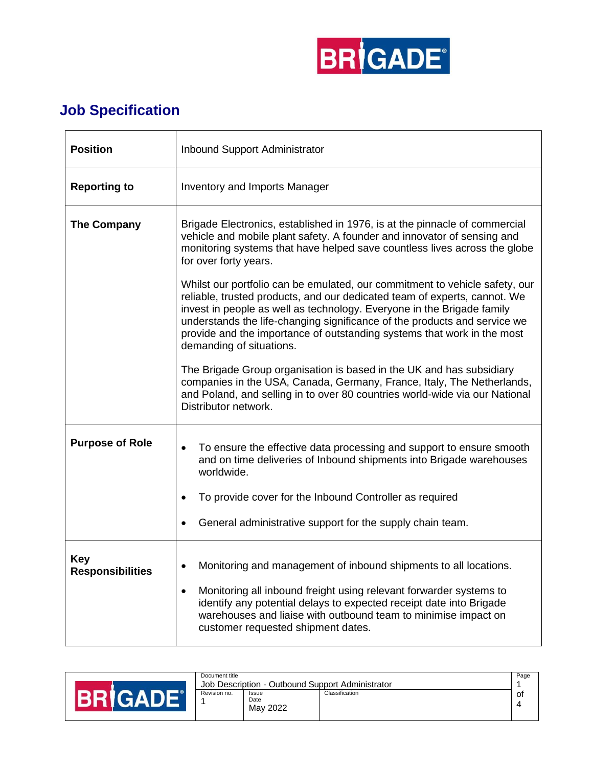

## **Job Specification**

| <b>Position</b>                | Inbound Support Administrator                                                                                                                                                                                                                                                                                                                                                                                          |  |  |  |  |  |
|--------------------------------|------------------------------------------------------------------------------------------------------------------------------------------------------------------------------------------------------------------------------------------------------------------------------------------------------------------------------------------------------------------------------------------------------------------------|--|--|--|--|--|
| <b>Reporting to</b>            | <b>Inventory and Imports Manager</b>                                                                                                                                                                                                                                                                                                                                                                                   |  |  |  |  |  |
| <b>The Company</b>             | Brigade Electronics, established in 1976, is at the pinnacle of commercial<br>vehicle and mobile plant safety. A founder and innovator of sensing and<br>monitoring systems that have helped save countless lives across the globe<br>for over forty years.                                                                                                                                                            |  |  |  |  |  |
|                                | Whilst our portfolio can be emulated, our commitment to vehicle safety, our<br>reliable, trusted products, and our dedicated team of experts, cannot. We<br>invest in people as well as technology. Everyone in the Brigade family<br>understands the life-changing significance of the products and service we<br>provide and the importance of outstanding systems that work in the most<br>demanding of situations. |  |  |  |  |  |
|                                | The Brigade Group organisation is based in the UK and has subsidiary<br>companies in the USA, Canada, Germany, France, Italy, The Netherlands,<br>and Poland, and selling in to over 80 countries world-wide via our National<br>Distributor network.                                                                                                                                                                  |  |  |  |  |  |
| <b>Purpose of Role</b>         | To ensure the effective data processing and support to ensure smooth<br>$\bullet$<br>and on time deliveries of Inbound shipments into Brigade warehouses<br>worldwide.                                                                                                                                                                                                                                                 |  |  |  |  |  |
|                                | To provide cover for the Inbound Controller as required<br>٠                                                                                                                                                                                                                                                                                                                                                           |  |  |  |  |  |
|                                | General administrative support for the supply chain team.<br>$\bullet$                                                                                                                                                                                                                                                                                                                                                 |  |  |  |  |  |
| Key<br><b>Responsibilities</b> | Monitoring and management of inbound shipments to all locations.<br>Monitoring all inbound freight using relevant forwarder systems to<br>$\bullet$<br>identify any potential delays to expected receipt date into Brigade<br>warehouses and liaise with outbound team to minimise impact on                                                                                                                           |  |  |  |  |  |
|                                | customer requested shipment dates.                                                                                                                                                                                                                                                                                                                                                                                     |  |  |  |  |  |

|  | Document title<br>Job Description - Outbound Support Administrator |                           |                |    |
|--|--------------------------------------------------------------------|---------------------------|----------------|----|
|  | Revision no.                                                       | Issue<br>Date<br>May 2022 | Classification | оf |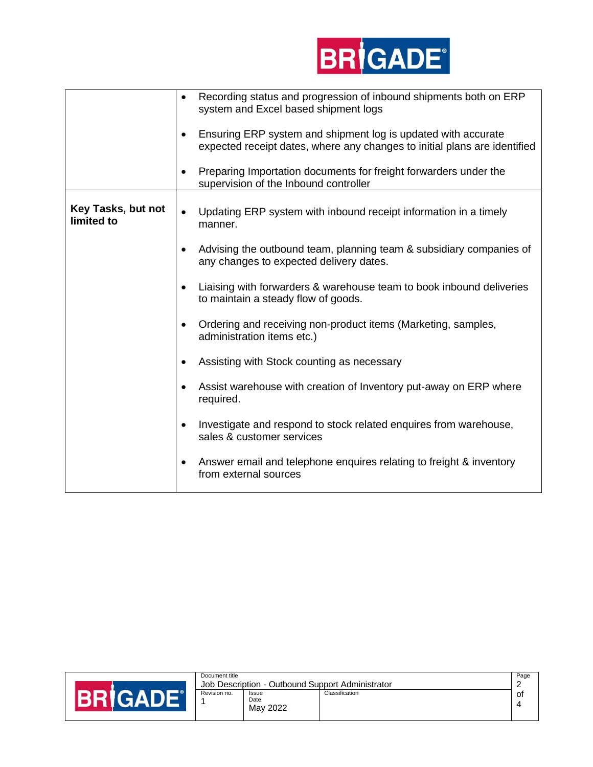

|                                  | Recording status and progression of inbound shipments both on ERP<br>$\bullet$<br>system and Excel based shipment logs<br>Ensuring ERP system and shipment log is updated with accurate<br>expected receipt dates, where any changes to initial plans are identified<br>Preparing Importation documents for freight forwarders under the<br>supervision of the Inbound controller |
|----------------------------------|-----------------------------------------------------------------------------------------------------------------------------------------------------------------------------------------------------------------------------------------------------------------------------------------------------------------------------------------------------------------------------------|
| Key Tasks, but not<br>limited to | Updating ERP system with inbound receipt information in a timely<br>$\bullet$<br>manner.                                                                                                                                                                                                                                                                                          |
|                                  | Advising the outbound team, planning team & subsidiary companies of<br>any changes to expected delivery dates.                                                                                                                                                                                                                                                                    |
|                                  | Liaising with forwarders & warehouse team to book inbound deliveries<br>to maintain a steady flow of goods.                                                                                                                                                                                                                                                                       |
|                                  | Ordering and receiving non-product items (Marketing, samples,<br>administration items etc.)                                                                                                                                                                                                                                                                                       |
|                                  | Assisting with Stock counting as necessary                                                                                                                                                                                                                                                                                                                                        |
|                                  | Assist warehouse with creation of Inventory put-away on ERP where<br>required.                                                                                                                                                                                                                                                                                                    |
|                                  | Investigate and respond to stock related enquires from warehouse,<br>sales & customer services                                                                                                                                                                                                                                                                                    |
|                                  | Answer email and telephone enquires relating to freight & inventory<br>٠<br>from external sources                                                                                                                                                                                                                                                                                 |

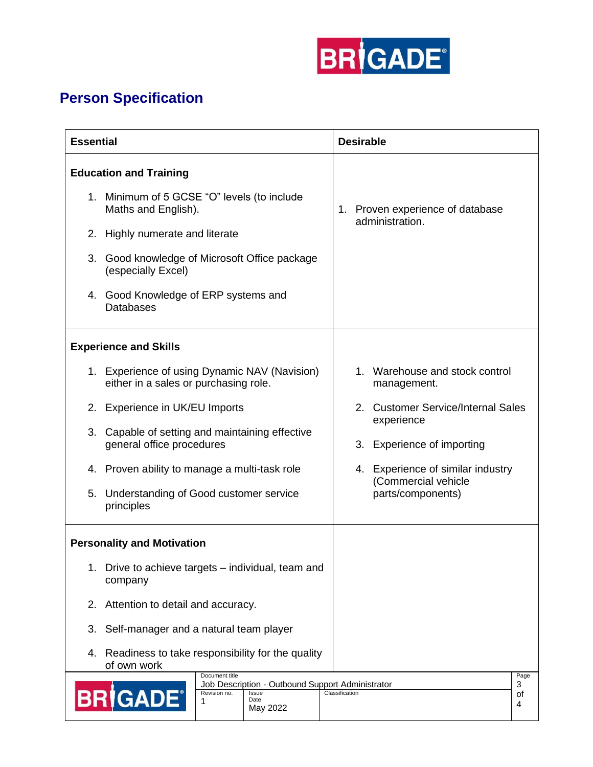

## **Person Specification**

| <b>Essential</b>                                                 |                                                                                                                                         |  |  |  | <b>Desirable</b>                 |                                               |                      |
|------------------------------------------------------------------|-----------------------------------------------------------------------------------------------------------------------------------------|--|--|--|----------------------------------|-----------------------------------------------|----------------------|
| <b>Education and Training</b>                                    |                                                                                                                                         |  |  |  |                                  |                                               |                      |
|                                                                  | 1. Minimum of 5 GCSE "O" levels (to include<br>Maths and English).                                                                      |  |  |  | 1. Proven experience of database |                                               |                      |
|                                                                  | 2. Highly numerate and literate                                                                                                         |  |  |  |                                  | administration.                               |                      |
|                                                                  | 3. Good knowledge of Microsoft Office package<br>(especially Excel)                                                                     |  |  |  |                                  |                                               |                      |
|                                                                  | 4. Good Knowledge of ERP systems and<br><b>Databases</b>                                                                                |  |  |  |                                  |                                               |                      |
|                                                                  | <b>Experience and Skills</b>                                                                                                            |  |  |  |                                  |                                               |                      |
|                                                                  | 1. Experience of using Dynamic NAV (Navision)<br>either in a sales or purchasing role.                                                  |  |  |  |                                  | 1. Warehouse and stock control<br>management. |                      |
|                                                                  | 2. Experience in UK/EU Imports                                                                                                          |  |  |  |                                  | 2. Customer Service/Internal Sales            |                      |
| 3.                                                               | Capable of setting and maintaining effective<br>general office procedures                                                               |  |  |  |                                  | experience<br>3. Experience of importing      |                      |
|                                                                  | 4. Proven ability to manage a multi-task role                                                                                           |  |  |  |                                  | 4. Experience of similar industry             |                      |
|                                                                  | 5. Understanding of Good customer service<br>principles                                                                                 |  |  |  |                                  | (Commercial vehicle<br>parts/components)      |                      |
|                                                                  | <b>Personality and Motivation</b>                                                                                                       |  |  |  |                                  |                                               |                      |
| Drive to achieve targets - individual, team and<br>1.<br>company |                                                                                                                                         |  |  |  |                                  |                                               |                      |
| 2.                                                               | Attention to detail and accuracy.                                                                                                       |  |  |  |                                  |                                               |                      |
| 3.                                                               | Self-manager and a natural team player                                                                                                  |  |  |  |                                  |                                               |                      |
| 4.                                                               | Readiness to take responsibility for the quality<br>of own work                                                                         |  |  |  |                                  |                                               |                      |
|                                                                  | Document title<br>Job Description - Outbound Support Administrator<br><b>BRIGADE®</b><br>Revision no.<br>Issue<br>Date<br>1<br>May 2022 |  |  |  | Classification                   |                                               | Page<br>3<br>οf<br>4 |